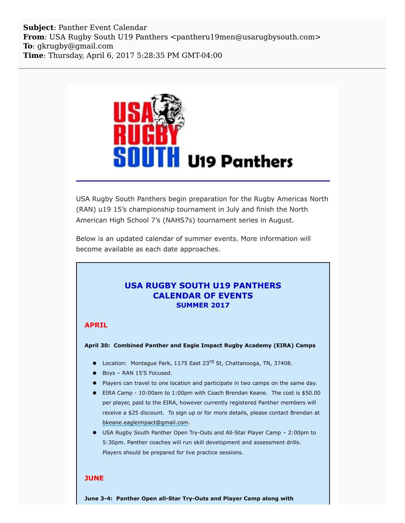**Subject**: Panther Event Calendar **From**: USA Rugby South U19 Panthers <pantheru19men@usarugbysouth.com> **To**: gkrugby@gmail.com **Time**: Thursday, April 6, 2017 5:28:35 PM GMT-04:00



USA Rugby South Panthers begin preparation for the Rugby Americas North (RAN) u19 15's championship tournament in July and finish the North American High School 7's (NAHS7s) tournament series in August.

Below is an updated calendar of summer events. More information will become available as each date approaches.

# **USA RUGBY SOUTH U19 PANTHERS CALENDAR OF EVENTS SUMMER 2017**

# **APRIL**

**April 30: Combined Panther and Eagle Impact Rugby Academy (EIRA) Camps**

- Location: Montague Park, 1175 East 23<sup>rd</sup> St, Chattanooga, TN, 37408.
- Boys RAN 15'S Focused.
- **Players can travel to one location and participate in two camps on the same day.**
- EIRA Camp 10:00am to 1:00pm with Coach Brendan Keane. The cost is \$50.00 per player, paid to the EIRA, however currently registered Panther members will receive a \$25 discount. To sign up or for more details, please contact Brendan at [bkeane.eagleimpact@gmail.com](mailto:bkeane.eagleimpact@gmail.com)**.**
- USA Rugby South Panther Open Try-Outs and All-Star Player Camp 2:00pm to 5:30pm. Panther coaches will run skill development and assessment drills. Players should be prepared for live practice sessions.

## **JUNE**

**June 3-4: Panther Open all-Star Try-Outs and Player Camp along with**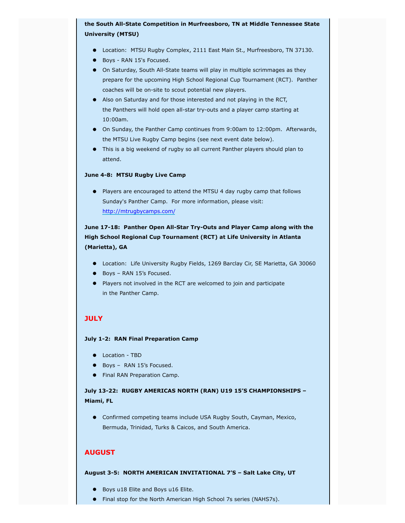## **the South All-State Competition in Murfreesboro, TN at Middle Tennessee State University (MTSU)**

- **•** Location: MTSU Rugby Complex, 2111 East Main St., Murfreesboro, TN 37130.
- Boys RAN 15's Focused.
- On Saturday, South All-State teams will play in multiple scrimmages as they prepare for the upcoming High School Regional Cup Tournament (RCT). Panther coaches will be on-site to scout potential new players.
- Also on Saturday and for those interested and not playing in the RCT, the Panthers will hold open all-star try-outs and a player camp starting at 10:00am.
- On Sunday, the Panther Camp continues from 9:00am to 12:00pm. Afterwards, the MTSU Live Rugby Camp begins (see next event date below).
- This is a big weekend of rugby so all current Panther players should plan to attend.

#### **June 4-8: MTSU Rugby Live Camp**

Players are encouraged to attend the MTSU 4 day rugby camp that follows Sunday's Panther Camp. For more information, please visit: [http://mtrugbycamps.com/](http://usarugbysouthpanthers.us14.list-manage.com/track/click?u=eb4b15ceee985d50206754bca&id=cf0a42ac29&e=6a1545ea88)

# **June 17-18: Panther Open All-Star Try-Outs and Player Camp along with the High School Regional Cup Tournament (RCT) at Life University in Atlanta (Marietta), GA**

- Location: Life University Rugby Fields, 1269 Barclay Cir, SE Marietta, GA 30060
- Boys RAN 15's Focused.
- Players not involved in the RCT are welcomed to join and participate in the Panther Camp.

## **JULY**

### **July 1-2: RAN Final Preparation Camp**

- $\bullet$  Location TBD
- Boys RAN 15's Focused.
- **•** Final RAN Preparation Camp.

**July 13-22: RUGBY AMERICAS NORTH (RAN) U19 15'S CHAMPIONSHIPS – Miami, FL**

Confirmed competing teams include USA Rugby South, Cayman, Mexico, Bermuda, Trinidad, Turks & Caicos, and South America.

### **AUGUST**

#### **August 3-5: NORTH AMERICAN INVITATIONAL 7'S – Salt Lake City, UT**

- Boys u18 Elite and Boys u16 Elite.
- Final stop for the North American High School 7s series (NAHS7s).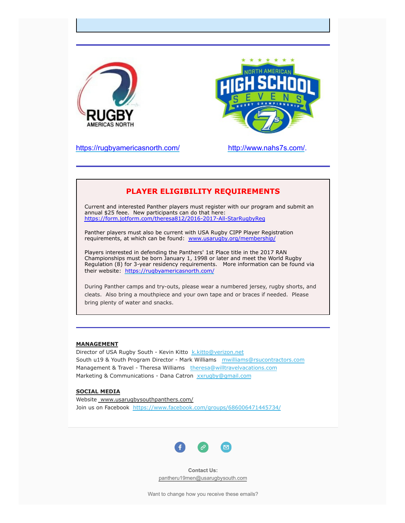



[https://rugbyamericasnorth.com/](http://usarugbysouthpanthers.us14.list-manage1.com/track/click?u=eb4b15ceee985d50206754bca&id=7583caefb3&e=6a1545ea88) [http://www.nahs7s.com/](http://usarugbysouthpanthers.us14.list-manage1.com/track/click?u=eb4b15ceee985d50206754bca&id=f2f7b49b59&e=6a1545ea88).

# **PLAYER ELIGIBILITY REQUIREMENTS**

Current and interested Panther players must register with our program and submit an annual \$25 feee. New participants can do that here: [https://form.jotform.com/theresa812/2016-2017-All-StarRugbyReg](http://usarugbysouthpanthers.us14.list-manage.com/track/click?u=eb4b15ceee985d50206754bca&id=60b9444bd8&e=6a1545ea88)

Panther players must also be current with USA Rugby CIPP Player Registration requirements, at which can be found: [www.usarugby.org/membership/](http://usarugbysouthpanthers.us14.list-manage.com/track/click?u=eb4b15ceee985d50206754bca&id=b066a00bfe&e=6a1545ea88)

Players interested in defending the Panthers' 1st Place title in the 2017 RAN Championships must be born January 1, 1998 or later and meet the World Rugby Regulation (8) for 3-year residency requirements. More information can be found via their website: [https://rugbyamericasnorth.com/](http://usarugbysouthpanthers.us14.list-manage.com/track/click?u=eb4b15ceee985d50206754bca&id=9d1c3e254a&e=6a1545ea88)

During Panther camps and try-outs, please wear a numbered jersey, rugby shorts, and cleats. Also bring a mouthpiece and your own tape and or braces if needed. Please bring plenty of water and snacks.

### **MANAGEMENT**

Director of USA Rugby South - Kevin Kitto [k.kitto@verizon.net](mailto:k.kitto@verizon.net) South u19 & Youth Program Director - Mark Williams [mwilliams@rsucontractors.com](mailto:mwilliams@rsucontractors.com) Management & Travel - Theresa Williams [theresa@willtravelvacations.com](mailto:theresa@willtravelvacations.com) Marketing & Communications - Dana Catron [xxrugby@gmail.com](mailto:xxrugby@gmail.com)

### **SOCIAL MEDIA**

Website www.usarugbysouthpanthers.com/ Join us on Facebook [https://www.facebook.com/groups/686006471445734/](http://usarugbysouthpanthers.us14.list-manage.com/track/click?u=eb4b15ceee985d50206754bca&id=9f9c283cc8&e=6a1545ea88)



**Contact Us:** [pantheru19men@usarugbysouth.com](mailto:pantheru19men@usarugbysouth.com)

Want to change how you receive these emails?